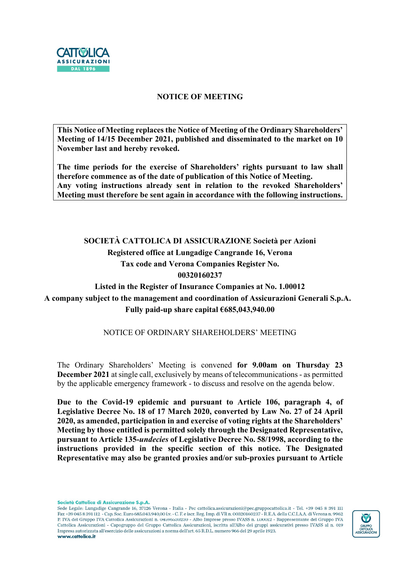

#### NOTICE OF MEETING

This Notice of Meeting replaces the Notice of Meeting of the Ordinary Shareholders' Meeting of 14/15 December 2021, published and disseminated to the market on 10 November last and hereby revoked.

The time periods for the exercise of Shareholders' rights pursuant to law shall therefore commence as of the date of publication of this Notice of Meeting. Any voting instructions already sent in relation to the revoked Shareholders' Meeting must therefore be sent again in accordance with the following instructions.

## SOCIETÀ CATTOLICA DI ASSICURAZIONE Società per Azioni Registered office at Lungadige Cangrande 16, Verona Tax code and Verona Companies Register No. 00320160237

## Listed in the Register of Insurance Companies at No. 1.00012 A company subject to the management and coordination of Assicurazioni Generali S.p.A. Fully paid-up share capital  $€685,043,940.00$

#### NOTICE OF ORDINARY SHAREHOLDERS' MEETING

The Ordinary Shareholders' Meeting is convened for 9.00am on Thursday 23 December 2021 at single call, exclusively by means of telecommunications - as permitted by the applicable emergency framework - to discuss and resolve on the agenda below.

Due to the Covid-19 epidemic and pursuant to Article 106, paragraph 4, of Legislative Decree No. 18 of 17 March 2020, converted by Law No. 27 of 24 April 2020, as amended, participation in and exercise of voting rights at the Shareholders' Meeting by those entitled is permitted solely through the Designated Representative, pursuant to Article 135-undecies of Legislative Decree No. 58/1998, according to the instructions provided in the specific section of this notice. The Designated Representative may also be granted proxies and/or sub-proxies pursuant to Article

Società Cattolica di Assicurazione S.p.A.

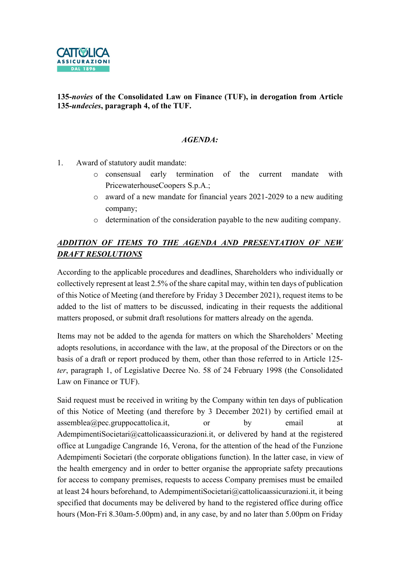

### 135-novies of the Consolidated Law on Finance (TUF), in derogation from Article 135-undecies, paragraph 4, of the TUF.

#### AGENDA:

- 1. Award of statutory audit mandate:
	- o consensual early termination of the current mandate with PricewaterhouseCoopers S.p.A.;
	- o award of a new mandate for financial years 2021-2029 to a new auditing company;
	- o determination of the consideration payable to the new auditing company.

## ADDITION OF ITEMS TO THE AGENDA AND PRESENTATION OF NEW DRAFT RESOLUTIONS

According to the applicable procedures and deadlines, Shareholders who individually or collectively represent at least 2.5% of the share capital may, within ten days of publication of this Notice of Meeting (and therefore by Friday 3 December 2021), request items to be added to the list of matters to be discussed, indicating in their requests the additional matters proposed, or submit draft resolutions for matters already on the agenda.

Items may not be added to the agenda for matters on which the Shareholders' Meeting adopts resolutions, in accordance with the law, at the proposal of the Directors or on the basis of a draft or report produced by them, other than those referred to in Article 125 ter, paragraph 1, of Legislative Decree No. 58 of 24 February 1998 (the Consolidated Law on Finance or TUF).

Said request must be received in writing by the Company within ten days of publication of this Notice of Meeting (and therefore by 3 December 2021) by certified email at assemblea@pec.gruppocattolica.it, or by email at AdempimentiSocietari@cattolicaassicurazioni.it, or delivered by hand at the registered office at Lungadige Cangrande 16, Verona, for the attention of the head of the Funzione Adempimenti Societari (the corporate obligations function). In the latter case, in view of the health emergency and in order to better organise the appropriate safety precautions for access to company premises, requests to access Company premises must be emailed at least 24 hours beforehand, to AdempimentiSocietari@cattolicaassicurazioni.it, it being specified that documents may be delivered by hand to the registered office during office hours (Mon-Fri 8.30am-5.00pm) and, in any case, by and no later than 5.00pm on Friday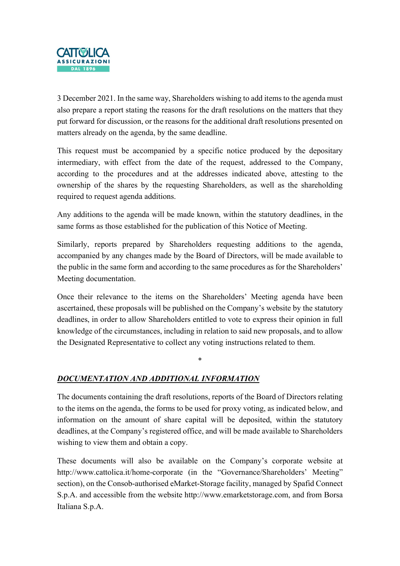

3 December 2021. In the same way, Shareholders wishing to add items to the agenda must also prepare a report stating the reasons for the draft resolutions on the matters that they put forward for discussion, or the reasons for the additional draft resolutions presented on matters already on the agenda, by the same deadline.

This request must be accompanied by a specific notice produced by the depositary intermediary, with effect from the date of the request, addressed to the Company, according to the procedures and at the addresses indicated above, attesting to the ownership of the shares by the requesting Shareholders, as well as the shareholding required to request agenda additions.

Any additions to the agenda will be made known, within the statutory deadlines, in the same forms as those established for the publication of this Notice of Meeting.

Similarly, reports prepared by Shareholders requesting additions to the agenda, accompanied by any changes made by the Board of Directors, will be made available to the public in the same form and according to the same procedures as for the Shareholders' Meeting documentation.

Once their relevance to the items on the Shareholders' Meeting agenda have been ascertained, these proposals will be published on the Company's website by the statutory deadlines, in order to allow Shareholders entitled to vote to express their opinion in full knowledge of the circumstances, including in relation to said new proposals, and to allow the Designated Representative to collect any voting instructions related to them.

\*

### DOCUMENTATION AND ADDITIONAL INFORMATION

The documents containing the draft resolutions, reports of the Board of Directors relating to the items on the agenda, the forms to be used for proxy voting, as indicated below, and information on the amount of share capital will be deposited, within the statutory deadlines, at the Company's registered office, and will be made available to Shareholders wishing to view them and obtain a copy.

These documents will also be available on the Company's corporate website at http://www.cattolica.it/home-corporate (in the "Governance/Shareholders' Meeting" section), on the Consob-authorised eMarket-Storage facility, managed by Spafid Connect S.p.A. and accessible from the website http://www.emarketstorage.com, and from Borsa Italiana S.p.A.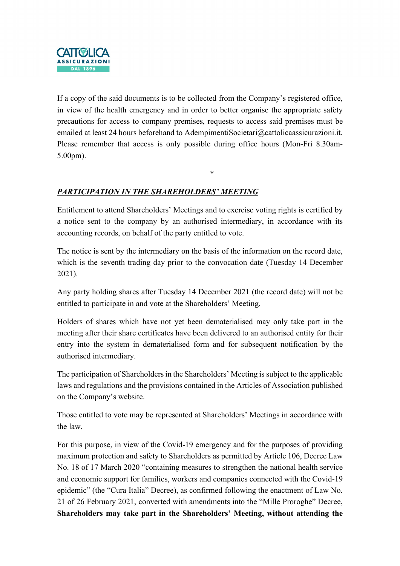

If a copy of the said documents is to be collected from the Company's registered office, in view of the health emergency and in order to better organise the appropriate safety precautions for access to company premises, requests to access said premises must be emailed at least 24 hours beforehand to AdempimentiSocietari@cattolicaassicurazioni.it. Please remember that access is only possible during office hours (Mon-Fri 8.30am-5.00pm).

\*

## PARTICIPATION IN THE SHAREHOLDERS' MEETING

Entitlement to attend Shareholders' Meetings and to exercise voting rights is certified by a notice sent to the company by an authorised intermediary, in accordance with its accounting records, on behalf of the party entitled to vote.

The notice is sent by the intermediary on the basis of the information on the record date, which is the seventh trading day prior to the convocation date (Tuesday 14 December 2021).

Any party holding shares after Tuesday 14 December 2021 (the record date) will not be entitled to participate in and vote at the Shareholders' Meeting.

Holders of shares which have not yet been dematerialised may only take part in the meeting after their share certificates have been delivered to an authorised entity for their entry into the system in dematerialised form and for subsequent notification by the authorised intermediary.

The participation of Shareholders in the Shareholders' Meeting is subject to the applicable laws and regulations and the provisions contained in the Articles of Association published on the Company's website.

Those entitled to vote may be represented at Shareholders' Meetings in accordance with the law.

For this purpose, in view of the Covid-19 emergency and for the purposes of providing maximum protection and safety to Shareholders as permitted by Article 106, Decree Law No. 18 of 17 March 2020 "containing measures to strengthen the national health service and economic support for families, workers and companies connected with the Covid-19 epidemic" (the "Cura Italia" Decree), as confirmed following the enactment of Law No. 21 of 26 February 2021, converted with amendments into the "Mille Proroghe" Decree, Shareholders may take part in the Shareholders' Meeting, without attending the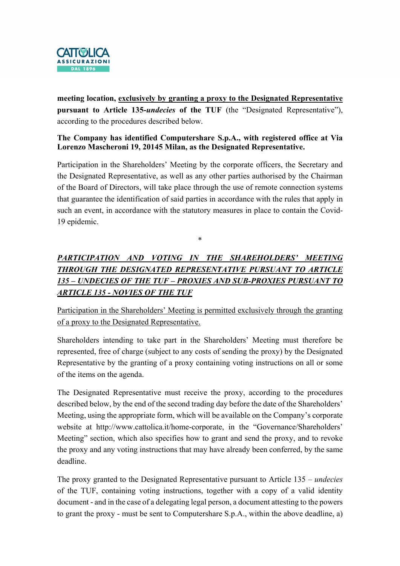

meeting location, exclusively by granting a proxy to the Designated Representative pursuant to Article 135-undecies of the TUF (the "Designated Representative"), according to the procedures described below.

#### The Company has identified Computershare S.p.A., with registered office at Via Lorenzo Mascheroni 19, 20145 Milan, as the Designated Representative.

Participation in the Shareholders' Meeting by the corporate officers, the Secretary and the Designated Representative, as well as any other parties authorised by the Chairman of the Board of Directors, will take place through the use of remote connection systems that guarantee the identification of said parties in accordance with the rules that apply in such an event, in accordance with the statutory measures in place to contain the Covid-19 epidemic.

\*

# PARTICIPATION AND VOTING IN THE SHAREHOLDERS' MEETING THROUGH THE DESIGNATED REPRESENTATIVE PURSUANT TO ARTICLE 135 – UNDECIES OF THE TUF – PROXIES AND SUB-PROXIES PURSUANT TO ARTICLE 135 - NOVIES OF THE TUF

Participation in the Shareholders' Meeting is permitted exclusively through the granting of a proxy to the Designated Representative.

Shareholders intending to take part in the Shareholders' Meeting must therefore be represented, free of charge (subject to any costs of sending the proxy) by the Designated Representative by the granting of a proxy containing voting instructions on all or some of the items on the agenda.

The Designated Representative must receive the proxy, according to the procedures described below, by the end of the second trading day before the date of the Shareholders' Meeting, using the appropriate form, which will be available on the Company's corporate website at http://www.cattolica.it/home-corporate, in the "Governance/Shareholders' Meeting" section, which also specifies how to grant and send the proxy, and to revoke the proxy and any voting instructions that may have already been conferred, by the same deadline.

The proxy granted to the Designated Representative pursuant to Article 135 – *undecies* of the TUF, containing voting instructions, together with a copy of a valid identity document - and in the case of a delegating legal person, a document attesting to the powers to grant the proxy - must be sent to Computershare S.p.A., within the above deadline, a)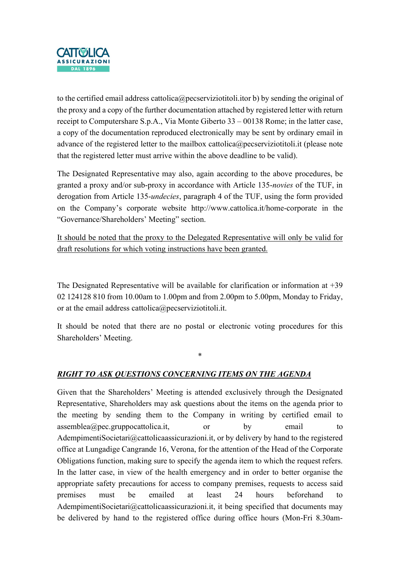

to the certified email address cattolica@pecserviziotitoli.itor b) by sending the original of the proxy and a copy of the further documentation attached by registered letter with return receipt to Computershare S.p.A., Via Monte Giberto 33 – 00138 Rome; in the latter case, a copy of the documentation reproduced electronically may be sent by ordinary email in advance of the registered letter to the mailbox cattolica@pecserviziotitoli.it (please note that the registered letter must arrive within the above deadline to be valid).

The Designated Representative may also, again according to the above procedures, be granted a proxy and/or sub-proxy in accordance with Article 135-novies of the TUF, in derogation from Article 135-*undecies*, paragraph 4 of the TUF, using the form provided on the Company's corporate website http://www.cattolica.it/home-corporate in the "Governance/Shareholders' Meeting" section.

It should be noted that the proxy to the Delegated Representative will only be valid for draft resolutions for which voting instructions have been granted.

The Designated Representative will be available for clarification or information at  $+39$ 02 124128 810 from 10.00am to 1.00pm and from 2.00pm to 5.00pm, Monday to Friday, or at the email address cattolica@pecserviziotitoli.it.

It should be noted that there are no postal or electronic voting procedures for this Shareholders' Meeting.

\*

# RIGHT TO ASK QUESTIONS CONCERNING ITEMS ON THE AGENDA

Given that the Shareholders' Meeting is attended exclusively through the Designated Representative, Shareholders may ask questions about the items on the agenda prior to the meeting by sending them to the Company in writing by certified email to  $assemblea(\omega)$  pec.gruppocattolica.it, or by email to AdempimentiSocietari@cattolicaassicurazioni.it, or by delivery by hand to the registered office at Lungadige Cangrande 16, Verona, for the attention of the Head of the Corporate Obligations function, making sure to specify the agenda item to which the request refers. In the latter case, in view of the health emergency and in order to better organise the appropriate safety precautions for access to company premises, requests to access said premises must be emailed at least 24 hours beforehand to AdempimentiSocietari@cattolicaassicurazioni.it, it being specified that documents may be delivered by hand to the registered office during office hours (Mon-Fri 8.30am-